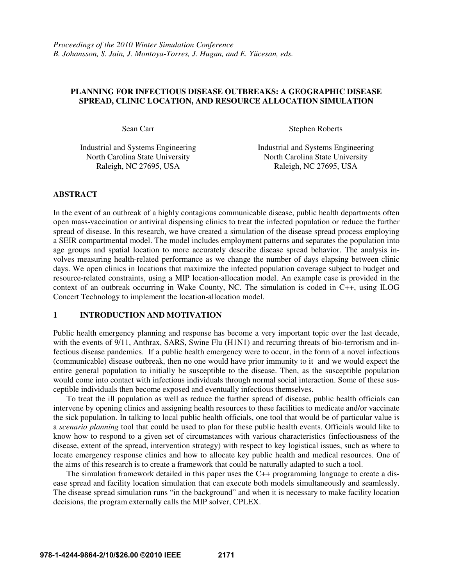## **PLANNING FOR INFECTIOUS DISEASE OUTBREAKS: A GEOGRAPHIC DISEASE SPREAD, CLINIC LOCATION, AND RESOURCE ALLOCATION SIMULATION**

Sean Carr Stephen Roberts

Industrial and Systems Engineering Industrial and Systems Engineering North Carolina State University North Carolina State University Raleigh, NC 27695, USA Raleigh, NC 27695, USA

## **ABSTRACT**

In the event of an outbreak of a highly contagious communicable disease, public health departments often open mass-vaccination or antiviral dispensing clinics to treat the infected population or reduce the further spread of disease. In this research, we have created a simulation of the disease spread process employing a SEIR compartmental model. The model includes employment patterns and separates the population into age groups and spatial location to more accurately describe disease spread behavior. The analysis involves measuring health-related performance as we change the number of days elapsing between clinic days. We open clinics in locations that maximize the infected population coverage subject to budget and resource-related constraints, using a MIP location-allocation model. An example case is provided in the context of an outbreak occurring in Wake County, NC. The simulation is coded in C++, using ILOG Concert Technology to implement the location-allocation model.

## **1 INTRODUCTION AND MOTIVATION**

Public health emergency planning and response has become a very important topic over the last decade, with the events of 9/11, Anthrax, SARS, Swine Flu (H1N1) and recurring threats of bio-terrorism and infectious disease pandemics. If a public health emergency were to occur, in the form of a novel infectious (communicable) disease outbreak, then no one would have prior immunity to it and we would expect the entire general population to initially be susceptible to the disease. Then, as the susceptible population would come into contact with infectious individuals through normal social interaction. Some of these susceptible individuals then become exposed and eventually infectious themselves.

 To treat the ill population as well as reduce the further spread of disease, public health officials can intervene by opening clinics and assigning health resources to these facilities to medicate and/or vaccinate the sick population. In talking to local public health officials, one tool that would be of particular value is a *scenario planning* tool that could be used to plan for these public health events. Officials would like to know how to respond to a given set of circumstances with various characteristics (infectiousness of the disease, extent of the spread, intervention strategy) with respect to key logistical issues, such as where to locate emergency response clinics and how to allocate key public health and medical resources. One of the aims of this research is to create a framework that could be naturally adapted to such a tool.

The simulation framework detailed in this paper uses the C++ programming language to create a disease spread and facility location simulation that can execute both models simultaneously and seamlessly. The disease spread simulation runs "in the background" and when it is necessary to make facility location decisions, the program externally calls the MIP solver, CPLEX.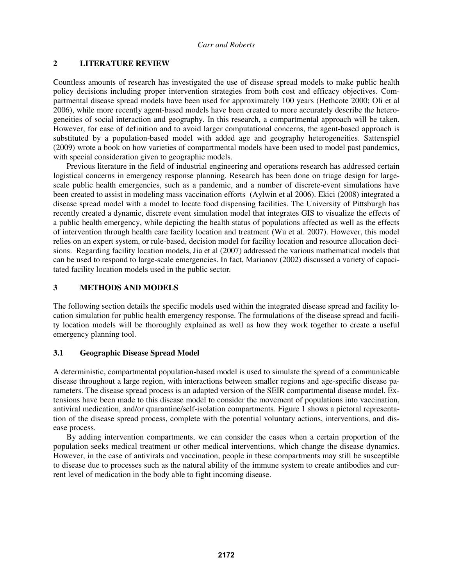# **2 LITERATURE REVIEW**

Countless amounts of research has investigated the use of disease spread models to make public health policy decisions including proper intervention strategies from both cost and efficacy objectives. Compartmental disease spread models have been used for approximately 100 years (Hethcote 2000; Oli et al 2006), while more recently agent-based models have been created to more accurately describe the heterogeneities of social interaction and geography. In this research, a compartmental approach will be taken. However, for ease of definition and to avoid larger computational concerns, the agent-based approach is substituted by a population-based model with added age and geography heterogeneities. Sattenspiel (2009) wrote a book on how varieties of compartmental models have been used to model past pandemics, with special consideration given to geographic models.

 Previous literature in the field of industrial engineering and operations research has addressed certain logistical concerns in emergency response planning. Research has been done on triage design for largescale public health emergencies, such as a pandemic, and a number of discrete-event simulations have been created to assist in modeling mass vaccination efforts (Aylwin et al 2006). Ekici (2008) integrated a disease spread model with a model to locate food dispensing facilities. The University of Pittsburgh has recently created a dynamic, discrete event simulation model that integrates GIS to visualize the effects of a public health emergency, while depicting the health status of populations affected as well as the effects of intervention through health care facility location and treatment (Wu et al. 2007). However, this model relies on an expert system, or rule-based, decision model for facility location and resource allocation decisions. Regarding facility location models, Jia et al (2007) addressed the various mathematical models that can be used to respond to large-scale emergencies. In fact, Marianov (2002) discussed a variety of capacitated facility location models used in the public sector*.* 

# **3 METHODS AND MODELS**

The following section details the specific models used within the integrated disease spread and facility location simulation for public health emergency response. The formulations of the disease spread and facility location models will be thoroughly explained as well as how they work together to create a useful emergency planning tool.

# **3.1 Geographic Disease Spread Model**

A deterministic, compartmental population-based model is used to simulate the spread of a communicable disease throughout a large region, with interactions between smaller regions and age-specific disease parameters. The disease spread process is an adapted version of the SEIR compartmental disease model. Extensions have been made to this disease model to consider the movement of populations into vaccination, antiviral medication, and/or quarantine/self-isolation compartments. Figure 1 shows a pictoral representation of the disease spread process, complete with the potential voluntary actions, interventions, and disease process.

 By adding intervention compartments, we can consider the cases when a certain proportion of the population seeks medical treatment or other medical interventions, which change the disease dynamics. However, in the case of antivirals and vaccination, people in these compartments may still be susceptible to disease due to processes such as the natural ability of the immune system to create antibodies and current level of medication in the body able to fight incoming disease.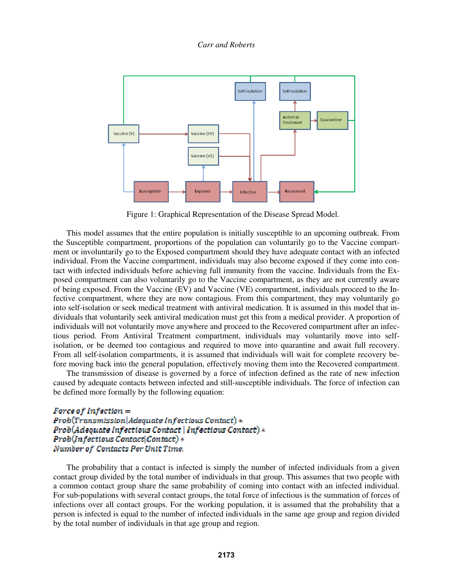

Figure 1: Graphical Representation of the Disease Spread Model.

 This model assumes that the entire population is initially susceptible to an upcoming outbreak. From the Susceptible compartment, proportions of the population can voluntarily go to the Vaccine compartment or involuntarily go to the Exposed compartment should they have adequate contact with an infected individual. From the Vaccine compartment, individuals may also become exposed if they come into contact with infected individuals before achieving full immunity from the vaccine. Individuals from the Exposed compartment can also voluntarily go to the Vaccine compartment, as they are not currently aware of being exposed. From the Vaccine (EV) and Vaccine (VE) compartment, individuals proceed to the Infective compartment, where they are now contagious. From this compartment, they may voluntarily go into self-isolation or seek medical treatment with antiviral medication. It is assumed in this model that individuals that voluntarily seek antiviral medication must get this from a medical provider. A proportion of individuals will not voluntarily move anywhere and proceed to the Recovered compartment after an infectious period. From Antiviral Treatment compartment, individuals may voluntarily move into selfisolation, or be deemed too contagious and required to move into quarantine and await full recovery. From all self-isolation compartments, it is assumed that individuals will wait for complete recovery before moving back into the general population, effectively moving them into the Recovered compartment.

 The transmission of disease is governed by a force of infection defined as the rate of new infection caused by adequate contacts between infected and still-susceptible individuals. The force of infection can be defined more formally by the following equation:

# $Force of Infection =$  $Prob(Transmission)$  Adequate Infectious Contact)  $*$ Prob(Adequate Infectious Contact | Infectious Contact) \* Prob(Infectious Contact|Contact) \* Number of Contacts Per Unit Time.

 The probability that a contact is infected is simply the number of infected individuals from a given contact group divided by the total number of individuals in that group. This assumes that two people with a common contact group share the same probability of coming into contact with an infected individual. For sub-populations with several contact groups, the total force of infectious is the summation of forces of infections over all contact groups. For the working population, it is assumed that the probability that a person is infected is equal to the number of infected individuals in the same age group and region divided by the total number of individuals in that age group and region.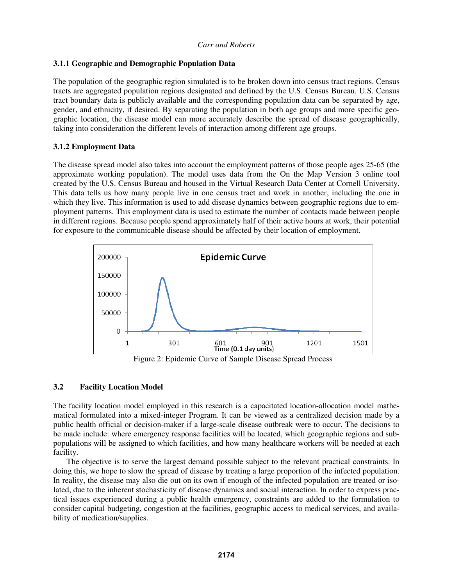# **3.1.1 Geographic and Demographic Population Data**

The population of the geographic region simulated is to be broken down into census tract regions. Census tracts are aggregated population regions designated and defined by the U.S. Census Bureau. U.S. Census tract boundary data is publicly available and the corresponding population data can be separated by age, gender, and ethnicity, if desired. By separating the population in both age groups and more specific geographic location, the disease model can more accurately describe the spread of disease geographically, taking into consideration the different levels of interaction among different age groups.

# **3.1.2 Employment Data**

The disease spread model also takes into account the employment patterns of those people ages 25-65 (the approximate working population). The model uses data from the On the Map Version 3 online tool created by the U.S. Census Bureau and housed in the Virtual Research Data Center at Cornell University. This data tells us how many people live in one census tract and work in another, including the one in which they live. This information is used to add disease dynamics between geographic regions due to employment patterns. This employment data is used to estimate the number of contacts made between people in different regions. Because people spend approximately half of their active hours at work, their potential for exposure to the communicable disease should be affected by their location of employment.



Figure 2: Epidemic Curve of Sample Disease Spread Process

## **3.2 Facility Location Model**

The facility location model employed in this research is a capacitated location-allocation model mathematical formulated into a mixed-integer Program. It can be viewed as a centralized decision made by a public health official or decision-maker if a large-scale disease outbreak were to occur. The decisions to be made include: where emergency response facilities will be located, which geographic regions and subpopulations will be assigned to which facilities, and how many healthcare workers will be needed at each facility.

The objective is to serve the largest demand possible subject to the relevant practical constraints. In doing this, we hope to slow the spread of disease by treating a large proportion of the infected population. In reality, the disease may also die out on its own if enough of the infected population are treated or isolated, due to the inherent stochasticity of disease dynamics and social interaction. In order to express practical issues experienced during a public health emergency, constraints are added to the formulation to consider capital budgeting, congestion at the facilities, geographic access to medical services, and availability of medication/supplies.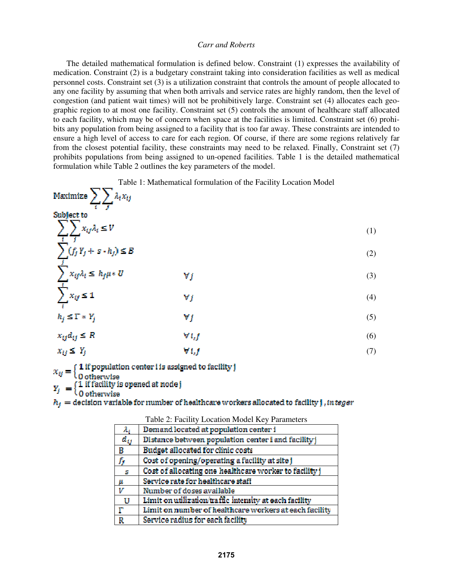The detailed mathematical formulation is defined below. Constraint (1) expresses the availability of medication. Constraint (2) is a budgetary constraint taking into consideration facilities as well as medical personnel costs. Constraint set (3) is a utilization constraint that controls the amount of people allocated to any one facility by assuming that when both arrivals and service rates are highly random, then the level of congestion (and patient wait times) will not be prohibitively large. Constraint set (4) allocates each geographic region to at most one facility. Constraint set (5) controls the amount of healthcare staff allocated to each facility, which may be of concern when space at the facilities is limited. Constraint set (6) prohibits any population from being assigned to a facility that is too far away. These constraints are intended to ensure a high level of access to care for each region. Of course, if there are some regions relatively far from the closest potential facility, these constraints may need to be relaxed. Finally, Constraint set (7) prohibits populations from being assigned to un-opened facilities. Table 1 is the detailed mathematical formulation while Table 2 outlines the key parameters of the model.

Table 1: Mathematical formulation of the Facility Location Model  $\lambda_i x_{ij}$ **Maximize Sublect to** (1) (2) ۷j (3) Vj (4)  $h_j \leq \Gamma * Y_j$ (5) Vj  $x_{ij}d_{ij} \leq R$ V i, j (6)  $x_{ii} \leq Y_i$  $Vi.f$ (7)

 $x_{ij} = \begin{cases} 1 \text{ if population center i is assigned to facility } 0 \text{ otherwise} \\ 0 \text{ otherwise} \end{cases}$ <br>  $Y_j = \begin{cases} 1 \text{ if facility is opened at node } 0 \text{ otherwise} \\ 0 \text{ otherwise} \end{cases}$ 

 $h_i$  = decision variable for number of healthcare workers allocated to facility j, integer

| Table 2: Facility Location Model Key Parameters |  |
|-------------------------------------------------|--|
|                                                 |  |

| $\lambda_i$ | Demand located at population center i                   |
|-------------|---------------------------------------------------------|
| $d_{ij}$    | Distance between population center i and facility j     |
| B           | Budget allocated for clinic costs                       |
| fi          | Cost of opening/operating a facility at site j          |
| R           | Cost of allocating one healthcare worker to facility j  |
| ш           | Service rate for healthcare staff                       |
| v           | Number of doses available                               |
| U           | Limit on utilization/traffic intensity at each facility |
| г           | Limit on number of healthcare workers at each facility  |
| R           | Service radius for each facility                        |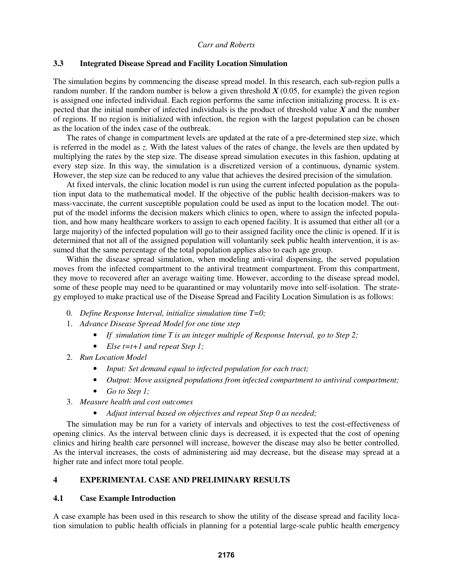# **3.3 Integrated Disease Spread and Facility Location Simulation**

The simulation begins by commencing the disease spread model. In this research, each sub-region pulls a random number. If the random number is below a given threshold *Χ* (0.05, for example) the given region is assigned one infected individual. Each region performs the same infection initializing process. It is expected that the initial number of infected individuals is the product of threshold value *Χ* and the number of regions. If no region is initialized with infection, the region with the largest population can be chosen as the location of the index case of the outbreak.

The rates of change in compartment levels are updated at the rate of a pre-determined step size, which is referred in the model as *z.* With the latest values of the rates of change, the levels are then updated by multiplying the rates by the step size. The disease spread simulation executes in this fashion, updating at every step size. In this way, the simulation is a discretized version of a continuous, dynamic system. However, the step size can be reduced to any value that achieves the desired precision of the simulation.

At fixed intervals, the clinic location model is run using the current infected population as the population input data to the mathematical model. If the objective of the public health decision-makers was to mass-vaccinate, the current susceptible population could be used as input to the location model. The output of the model informs the decision makers which clinics to open, where to assign the infected population, and how many healthcare workers to assign to each opened facility. It is assumed that either all (or a large majority) of the infected population will go to their assigned facility once the clinic is opened. If it is determined that not all of the assigned population will voluntarily seek public health intervention, it is assumed that the same percentage of the total population applies also to each age group.

Within the disease spread simulation, when modeling anti-viral dispensing, the served population moves from the infected compartment to the antiviral treatment compartment. From this compartment, they move to recovered after an average waiting time. However, according to the disease spread model, some of these people may need to be quarantined or may voluntarily move into self-isolation. The strategy employed to make practical use of the Disease Spread and Facility Location Simulation is as follows:

- 0. *Define Response Interval, initialize simulation time T=0;*
- 1. *Advance Disease Spread Model for one time step* 
	- *If simulation time T is an integer multiple of Response Interval, go to Step 2;*
	- *Else t=t+1 and repeat Step 1;*
- 2. *Run Location Model*
	- *Input: Set demand equal to infected population for each tract;*
	- *Output: Move assigned populations from infected compartment to antiviral compartment;*
	- *Go to Step 1;*
- 3. *Measure health and cost outcomes*
	- *Adjust interval based on objectives and repeat Step 0 as needed;*

 The simulation may be run for a variety of intervals and objectives to test the cost-effectiveness of opening clinics. As the interval between clinic days is decreased, it is expected that the cost of opening clinics and hiring health care personnel will increase, however the disease may also be better controlled. As the interval increases, the costs of administering aid may decrease, but the disease may spread at a higher rate and infect more total people.

# **4 EXPERIMENTAL CASE AND PRELIMINARY RESULTS**

## **4.1 Case Example Introduction**

A case example has been used in this research to show the utility of the disease spread and facility location simulation to public health officials in planning for a potential large-scale public health emergency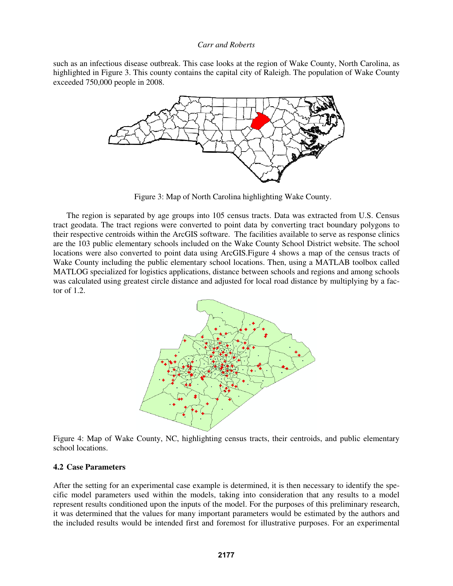such as an infectious disease outbreak. This case looks at the region of Wake County, North Carolina, as highlighted in Figure 3. This county contains the capital city of Raleigh. The population of Wake County exceeded 750,000 people in 2008.



Figure 3: Map of North Carolina highlighting Wake County.

 The region is separated by age groups into 105 census tracts. Data was extracted from U.S. Census tract geodata. The tract regions were converted to point data by converting tract boundary polygons to their respective centroids within the ArcGIS software. The facilities available to serve as response clinics are the 103 public elementary schools included on the Wake County School District website. The school locations were also converted to point data using ArcGIS.Figure 4 shows a map of the census tracts of Wake County including the public elementary school locations. Then, using a MATLAB toolbox called MATLOG specialized for logistics applications, distance between schools and regions and among schools was calculated using greatest circle distance and adjusted for local road distance by multiplying by a factor of 1.2.



Figure 4: Map of Wake County, NC, highlighting census tracts, their centroids, and public elementary school locations.

### **4.2 Case Parameters**

After the setting for an experimental case example is determined, it is then necessary to identify the specific model parameters used within the models, taking into consideration that any results to a model represent results conditioned upon the inputs of the model. For the purposes of this preliminary research, it was determined that the values for many important parameters would be estimated by the authors and the included results would be intended first and foremost for illustrative purposes. For an experimental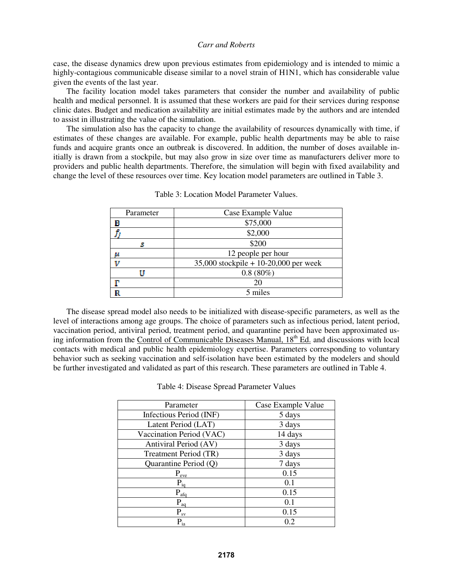case, the disease dynamics drew upon previous estimates from epidemiology and is intended to mimic a highly-contagious communicable disease similar to a novel strain of H1N1, which has considerable value given the events of the last year.

 The facility location model takes parameters that consider the number and availability of public health and medical personnel. It is assumed that these workers are paid for their services during response clinic dates. Budget and medication availability are initial estimates made by the authors and are intended to assist in illustrating the value of the simulation.

The simulation also has the capacity to change the availability of resources dynamically with time, if estimates of these changes are available. For example, public health departments may be able to raise funds and acquire grants once an outbreak is discovered. In addition, the number of doses available initially is drawn from a stockpile, but may also grow in size over time as manufacturers deliver more to providers and public health departments. Therefore, the simulation will begin with fixed availability and change the level of these resources over time. Key location model parameters are outlined in Table 3.

| Parameter | Case Example Value                    |
|-----------|---------------------------------------|
| в         | \$75,000                              |
|           | \$2,000                               |
| s         | \$200                                 |
| μ         | 12 people per hour                    |
| V         | 35,000 stockpile + 10-20,000 per week |
|           | $0.8(80\%)$                           |
| π         | 20                                    |
| R         | 5 miles                               |

Table 3: Location Model Parameter Values.

 The disease spread model also needs to be initialized with disease-specific parameters, as well as the level of interactions among age groups. The choice of parameters such as infectious period, latent period, vaccination period, antiviral period, treatment period, and quarantine period have been approximated using information from the Control of Communicable Diseases Manual,  $18<sup>th</sup>$  Ed. and discussions with local contacts with medical and public health epidemiology expertise. Parameters corresponding to voluntary behavior such as seeking vaccination and self-isolation have been estimated by the modelers and should be further investigated and validated as part of this research. These parameters are outlined in Table 4.

Table 4: Disease Spread Parameter Values

| Parameter                | Case Example Value |
|--------------------------|--------------------|
| Infectious Period (INF)  | 5 days             |
| Latent Period (LAT)      | 3 days             |
| Vaccination Period (VAC) | 14 days            |
| Antiviral Period (AV)    | 3 days             |
| Treatment Period (TR)    | 3 days             |
| Quarantine Period (Q)    | 7 days             |
| $P_{eve}$                | 0.15               |
| $P_{iq}$                 | 0.1                |
| $P_{\text{afq}}$         | 0.15               |
| $P_{aq}$                 | 0.1                |
| $\rm P_{\rm sv}$         | 0.15               |
| $\rm P_{ia}$             | 0.2                |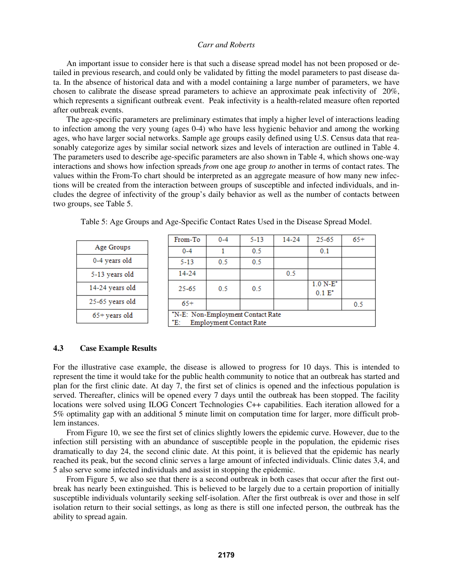An important issue to consider here is that such a disease spread model has not been proposed or detailed in previous research, and could only be validated by fitting the model parameters to past disease data. In the absence of historical data and with a model containing a large number of parameters, we have chosen to calibrate the disease spread parameters to achieve an approximate peak infectivity of 20%, which represents a significant outbreak event. Peak infectivity is a health-related measure often reported after outbreak events.

 The age-specific parameters are preliminary estimates that imply a higher level of interactions leading to infection among the very young (ages 0-4) who have less hygienic behavior and among the working ages, who have larger social networks. Sample age groups easily defined using U.S. Census data that reasonably categorize ages by similar social network sizes and levels of interaction are outlined in Table 4. The parameters used to describe age-specific parameters are also shown in Table 4, which shows one-way interactions and shows how infection spreads *from* one age group *to* another in terms of contact rates. The values within the From-To chart should be interpreted as an aggregate measure of how many new infections will be created from the interaction between groups of susceptible and infected individuals, and includes the degree of infectivity of the group's daily behavior as well as the number of contacts between two groups, see Table 5.

|                 | From-To                                                                    | $0 - 4$ | $5 - 13$ | 14-24 | $25 - 65$   | $65+$ |
|-----------------|----------------------------------------------------------------------------|---------|----------|-------|-------------|-------|
| Age Groups      | $0 - 4$                                                                    |         | 0.5      |       | 0.1         |       |
| 0-4 years old   | $5 - 13$                                                                   | 0.5     | 0.5      |       |             |       |
| 5-13 years old  | 14-24                                                                      |         |          | 0.5   |             |       |
| 14-24 years old | $25 - 65$                                                                  | 0.5     | 0.5      |       | $1.0 N-E^*$ |       |
|                 |                                                                            |         |          |       | $0.1 E^*$   |       |
| 25-65 years old | $65+$                                                                      |         |          |       |             | 0.5   |
| $65+$ years old | *N-E: Non-Employment Contact Rate<br>۴Έ:<br><b>Employment Contact Rate</b> |         |          |       |             |       |
|                 |                                                                            |         |          |       |             |       |

Table 5: Age Groups and Age-Specific Contact Rates Used in the Disease Spread Model.

### **4.3 Case Example Results**

For the illustrative case example, the disease is allowed to progress for 10 days. This is intended to represent the time it would take for the public health community to notice that an outbreak has started and plan for the first clinic date. At day 7, the first set of clinics is opened and the infectious population is served. Thereafter, clinics will be opened every 7 days until the outbreak has been stopped. The facility locations were solved using ILOG Concert Technologies C++ capabilities. Each iteration allowed for a 5% optimality gap with an additional 5 minute limit on computation time for larger, more difficult problem instances.

From Figure 10, we see the first set of clinics slightly lowers the epidemic curve. However, due to the infection still persisting with an abundance of susceptible people in the population, the epidemic rises dramatically to day 24, the second clinic date. At this point, it is believed that the epidemic has nearly reached its peak, but the second clinic serves a large amount of infected individuals. Clinic dates 3,4, and 5 also serve some infected individuals and assist in stopping the epidemic.

From Figure 5, we also see that there is a second outbreak in both cases that occur after the first outbreak has nearly been extinguished. This is believed to be largely due to a certain proportion of initially susceptible individuals voluntarily seeking self-isolation. After the first outbreak is over and those in self isolation return to their social settings, as long as there is still one infected person, the outbreak has the ability to spread again.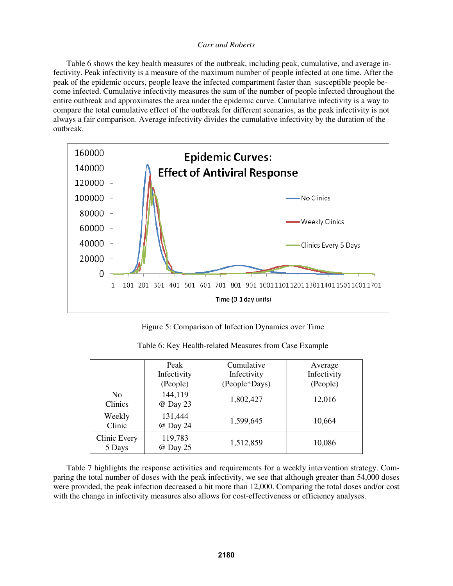Table 6 shows the key health measures of the outbreak, including peak, cumulative, and average infectivity. Peak infectivity is a measure of the maximum number of people infected at one time. After the peak of the epidemic occurs, people leave the infected compartment faster than susceptible people become infected. Cumulative infectivity measures the sum of the number of people infected throughout the entire outbreak and approximates the area under the epidemic curve. Cumulative infectivity is a way to compare the total cumulative effect of the outbreak for different scenarios, as the peak infectivity is not always a fair comparison. Average infectivity divides the cumulative infectivity by the duration of the outbreak.



Figure 5: Comparison of Infection Dynamics over Time

|                           | Peak<br>Infectivity<br>(People) | Cumulative<br>Infectivity<br>(People*Days) | Average<br>Infectivity<br>(People) |
|---------------------------|---------------------------------|--------------------------------------------|------------------------------------|
| N <sub>0</sub><br>Clinics | 144,119<br>@ Day 23             | 1,802,427                                  | 12,016                             |
| Weekly<br>Clinic          | 131,444<br>@ Day 24             | 1,599,645                                  | 10,664                             |
| Clinic Every<br>5 Days    | 119,783<br>@ Day 25             | 1,512,859                                  | 10,086                             |

Table 6: Key Health-related Measures from Case Example

 Table 7 highlights the response activities and requirements for a weekly intervention strategy. Comparing the total number of doses with the peak infectivity, we see that although greater than 54,000 doses were provided, the peak infection decreased a bit more than 12,000. Comparing the total doses and/or cost with the change in infectivity measures also allows for cost-effectiveness or efficiency analyses.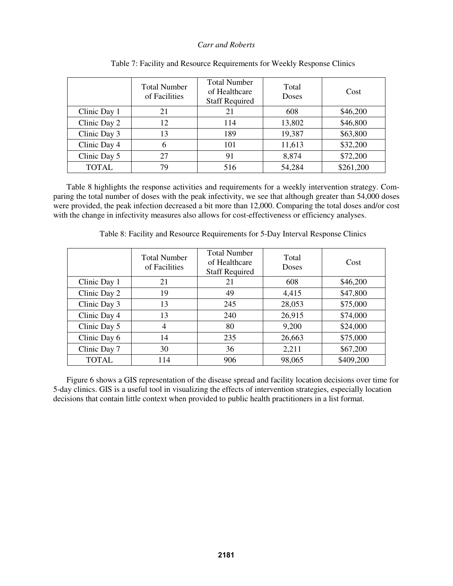|              | <b>Total Number</b><br>of Facilities | <b>Total Number</b><br>of Healthcare<br><b>Staff Required</b> | Total<br><b>Doses</b> | Cost      |
|--------------|--------------------------------------|---------------------------------------------------------------|-----------------------|-----------|
| Clinic Day 1 | 21                                   | 21                                                            | 608                   | \$46,200  |
| Clinic Day 2 | 12                                   | 114                                                           | 13,802                | \$46,800  |
| Clinic Day 3 | 13                                   | 189                                                           | 19,387                | \$63,800  |
| Clinic Day 4 | 6                                    | 101                                                           | 11,613                | \$32,200  |
| Clinic Day 5 | 27                                   | 91                                                            | 8,874                 | \$72,200  |
| <b>TOTAL</b> | 79                                   | 516                                                           | 54,284                | \$261,200 |

| Table 7: Facility and Resource Requirements for Weekly Response Clinics |  |  |
|-------------------------------------------------------------------------|--|--|
|                                                                         |  |  |

 Table 8 highlights the response activities and requirements for a weekly intervention strategy. Comparing the total number of doses with the peak infectivity, we see that although greater than 54,000 doses were provided, the peak infection decreased a bit more than 12,000. Comparing the total doses and/or cost with the change in infectivity measures also allows for cost-effectiveness or efficiency analyses.

|              | <b>Total Number</b><br>of Facilities | <b>Total Number</b><br>of Healthcare<br><b>Staff Required</b> | Total<br><b>Doses</b> | Cost      |
|--------------|--------------------------------------|---------------------------------------------------------------|-----------------------|-----------|
| Clinic Day 1 | 21                                   | 21                                                            | 608                   | \$46,200  |
| Clinic Day 2 | 19                                   | 49                                                            | 4,415                 | \$47,800  |
| Clinic Day 3 | 13                                   | 245                                                           | 28,053                | \$75,000  |
| Clinic Day 4 | 13                                   | 240                                                           | 26,915                | \$74,000  |
| Clinic Day 5 | $\overline{4}$                       | 80                                                            | 9,200                 | \$24,000  |
| Clinic Day 6 | 14                                   | 235                                                           | 26,663                | \$75,000  |
| Clinic Day 7 | 30                                   | 36                                                            | 2,211                 | \$67,200  |
| <b>TOTAL</b> | 114                                  | 906                                                           | 98,065                | \$409,200 |

Table 8: Facility and Resource Requirements for 5-Day Interval Response Clinics

Figure 6 shows a GIS representation of the disease spread and facility location decisions over time for 5-day clinics. GIS is a useful tool in visualizing the effects of intervention strategies, especially location decisions that contain little context when provided to public health practitioners in a list format.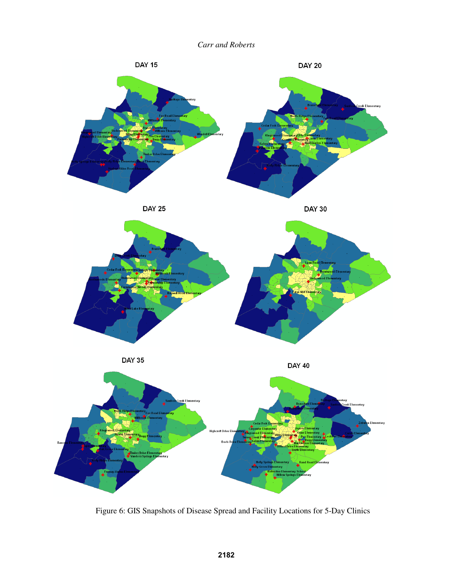

Figure 6: GIS Snapshots of Disease Spread and Facility Locations for 5-Day Clinics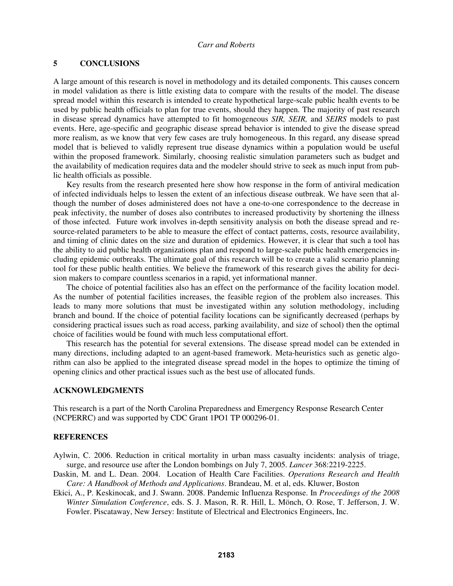#### **5 CONCLUSIONS**

A large amount of this research is novel in methodology and its detailed components. This causes concern in model validation as there is little existing data to compare with the results of the model. The disease spread model within this research is intended to create hypothetical large-scale public health events to be used by public health officials to plan for true events, should they happen. The majority of past research in disease spread dynamics have attempted to fit homogeneous *SIR, SEIR,* and *SEIRS* models to past events. Here, age-specific and geographic disease spread behavior is intended to give the disease spread more realism, as we know that very few cases are truly homogeneous. In this regard, any disease spread model that is believed to validly represent true disease dynamics within a population would be useful within the proposed framework. Similarly, choosing realistic simulation parameters such as budget and the availability of medication requires data and the modeler should strive to seek as much input from public health officials as possible.

 Key results from the research presented here show how response in the form of antiviral medication of infected individuals helps to lessen the extent of an infectious disease outbreak. We have seen that although the number of doses administered does not have a one-to-one correspondence to the decrease in peak infectivity, the number of doses also contributes to increased productivity by shortening the illness of those infected. Future work involves in-depth sensitivity analysis on both the disease spread and resource-related parameters to be able to measure the effect of contact patterns, costs, resource availability, and timing of clinic dates on the size and duration of epidemics. However, it is clear that such a tool has the ability to aid public health organizations plan and respond to large-scale public health emergencies including epidemic outbreaks. The ultimate goal of this research will be to create a valid scenario planning tool for these public health entities. We believe the framework of this research gives the ability for decision makers to compare countless scenarios in a rapid, yet informational manner.

 The choice of potential facilities also has an effect on the performance of the facility location model. As the number of potential facilities increases, the feasible region of the problem also increases. This leads to many more solutions that must be investigated within any solution methodology, including branch and bound. If the choice of potential facility locations can be significantly decreased (perhaps by considering practical issues such as road access, parking availability, and size of school) then the optimal choice of facilities would be found with much less computational effort.

 This research has the potential for several extensions. The disease spread model can be extended in many directions, including adapted to an agent-based framework. Meta-heuristics such as genetic algorithm can also be applied to the integrated disease spread model in the hopes to optimize the timing of opening clinics and other practical issues such as the best use of allocated funds.

#### **ACKNOWLEDGMENTS**

This research is a part of the North Carolina Preparedness and Emergency Response Research Center (NCPERRC) and was supported by CDC Grant 1PO1 TP 000296-01.

## **REFERENCES**

- Aylwin, C. 2006. Reduction in critical mortality in urban mass casualty incidents: analysis of triage, surge, and resource use after the London bombings on July 7, 2005. *Lancer* 368:2219-2225.
- Daskin, M. and L. Dean. 2004. Location of Health Care Facilities. *Operations Research and Health Care: A Handbook of Methods and Applications*. Brandeau, M. et al, eds. Kluwer, Boston
- Ekici, A., P. Keskinocak, and J. Swann. 2008. Pandemic Influenza Response. In *Proceedings of the 2008 Winter Simulation Conference*, eds. S. J. Mason, R. R. Hill, L. Mönch, O. Rose, T. Jefferson, J. W. Fowler. Piscataway, New Jersey: Institute of Electrical and Electronics Engineers, Inc.